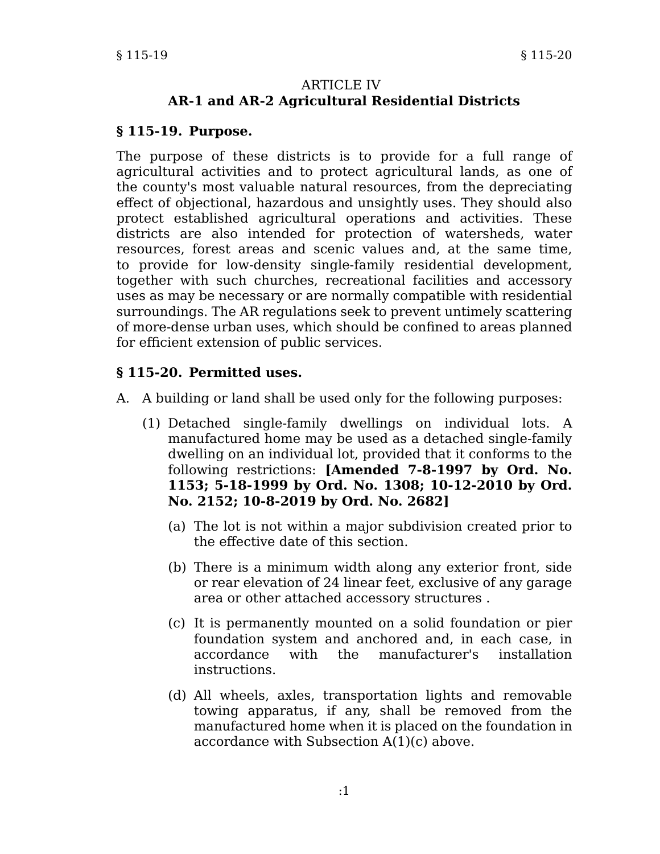#### **ARTICLE IV AR-1 and AR-2 Agricultural Residential Districts**

#### **§ 115-19. Purpose.**

The purpose of these districts is to provide for a full range of agricultural activities and to protect agricultural lands, as one of the county's most valuable natural resources, from the depreciating effect of objectional, hazardous and unsightly uses. They should also protect established agricultural operations and activities. These districts are also intended for protection of watersheds, water resources, forest areas and scenic values and, at the same time, to provide for low-density single-family residential development, together with such churches, recreational facilities and accessory uses as may be necessary or are normally compatible with residential surroundings. The AR regulations seek to prevent untimely scattering of more-dense urban uses, which should be confined to areas planned for efficient extension of public services.

### **§ 115-20. Permitted uses.**

- A. A building or land shall be used only for the following purposes:
	- (1) Detached single-family dwellings on individual lots. A manufactured home may be used as a detached single-family dwelling on an individual lot, provided that it conforms to the following restrictions: **[Amended 7-8-1997 by Ord. No. 1153; 5-18-1999 by Ord. No. 1308; 10-12-2010 by Ord. No. 2152; 10-8-2019 by Ord. No. 2682]**
		- (a) The lot is not within a major subdivision created prior to the effective date of this section.
		- (b) There is a minimum width along any exterior front, side or rear elevation of 24 linear feet, exclusive of any garage area or other attached accessory structures .
		- (c) It is permanently mounted on a solid foundation or pier foundation system and anchored and, in each case, in accordance with the manufacturer's installation instructions.
		- (d) All wheels, axles, transportation lights and removable towing apparatus, if any, shall be removed from the manufactured home when it is placed on the foundation in accordance with Subsection A(1)(c) above.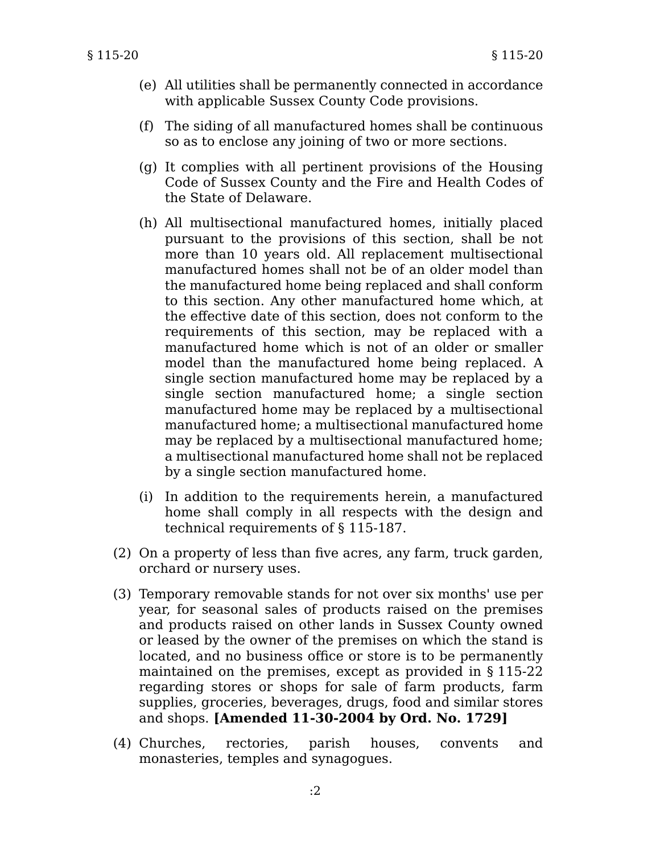- (e) All utilities shall be permanently connected in accordance with applicable Sussex County Code provisions.
- (f) The siding of all manufactured homes shall be continuous so as to enclose any joining of two or more sections.
- (g) It complies with all pertinent provisions of the Housing Code of Sussex County and the Fire and Health Codes of the State of Delaware.
- (h) All multisectional manufactured homes, initially placed pursuant to the provisions of this section, shall be not more than 10 years old. All replacement multisectional manufactured homes shall not be of an older model than the manufactured home being replaced and shall conform to this section. Any other manufactured home which, at the effective date of this section, does not conform to the requirements of this section, may be replaced with a manufactured home which is not of an older or smaller model than the manufactured home being replaced. A single section manufactured home may be replaced by a single section manufactured home; a single section manufactured home may be replaced by a multisectional manufactured home; a multisectional manufactured home may be replaced by a multisectional manufactured home; a multisectional manufactured home shall not be replaced by a single section manufactured home.
- (i) In addition to the requirements herein, a manufactured home shall comply in all respects with the design and technical requirements of § 115-187.
- (2) On a property of less than five acres, any farm, truck garden, orchard or nursery uses.
- (3) Temporary removable stands for not over six months' use per year, for seasonal sales of products raised on the premises and products raised on other lands in Sussex County owned or leased by the owner of the premises on which the stand is located, and no business office or store is to be permanently maintained on the premises, except as provided in § 115-22 regarding stores or shops for sale of farm products, farm supplies, groceries, beverages, drugs, food and similar stores and shops. **[Amended 11-30-2004 by Ord. No. 1729]**
- (4) Churches, rectories, parish houses, convents and monasteries, temples and synagogues.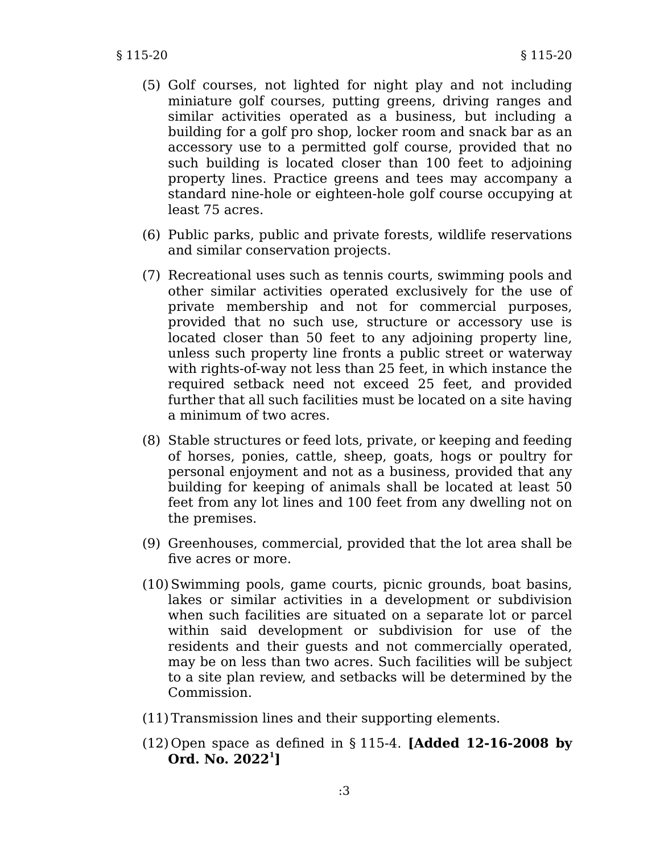- (5) Golf courses, not lighted for night play and not including miniature golf courses, putting greens, driving ranges and similar activities operated as a business, but including a building for a golf pro shop, locker room and snack bar as an accessory use to a permitted golf course, provided that no such building is located closer than 100 feet to adjoining property lines. Practice greens and tees may accompany a standard nine-hole or eighteen-hole golf course occupying at least 75 acres.
- (6) Public parks, public and private forests, wildlife reservations and similar conservation projects.
- (7) Recreational uses such as tennis courts, swimming pools and other similar activities operated exclusively for the use of private membership and not for commercial purposes, provided that no such use, structure or accessory use is located closer than 50 feet to any adjoining property line, unless such property line fronts a public street or waterway with rights-of-way not less than 25 feet, in which instance the required setback need not exceed 25 feet, and provided further that all such facilities must be located on a site having a minimum of two acres.
- (8) Stable structures or feed lots, private, or keeping and feeding of horses, ponies, cattle, sheep, goats, hogs or poultry for personal enjoyment and not as a business, provided that any building for keeping of animals shall be located at least 50 feet from any lot lines and 100 feet from any dwelling not on the premises.
- (9) Greenhouses, commercial, provided that the lot area shall be five acres or more.
- (10)Swimming pools, game courts, picnic grounds, boat basins, lakes or similar activities in a development or subdivision when such facilities are situated on a separate lot or parcel within said development or subdivision for use of the residents and their guests and not commercially operated, may be on less than two acres. Such facilities will be subject to a site plan review, and setbacks will be determined by the Commission.
- (11) Transmission lines and their supporting elements.
- (12) Open space as defined in § 115-4. **[Added 12-16-2008 by Ord. No. 2022<sup>1</sup> ]**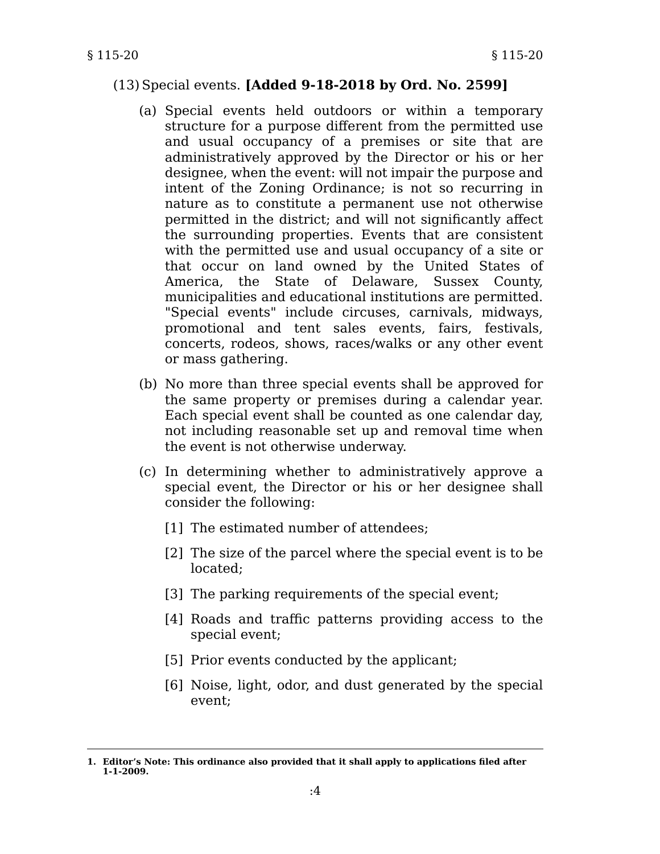#### § 115-20 § 115-20

### (13)Special events. **[Added 9-18-2018 by Ord. No. 2599]**

- (a) Special events held outdoors or within a temporary structure for a purpose different from the permitted use and usual occupancy of a premises or site that are administratively approved by the Director or his or her designee, when the event: will not impair the purpose and intent of the Zoning Ordinance; is not so recurring in nature as to constitute a permanent use not otherwise permitted in the district; and will not significantly affect the surrounding properties. Events that are consistent with the permitted use and usual occupancy of a site or that occur on land owned by the United States of America, the State of Delaware, Sussex County, municipalities and educational institutions are permitted. "Special events" include circuses, carnivals, midways, promotional and tent sales events, fairs, festivals, concerts, rodeos, shows, races/walks or any other event or mass gathering.
- (b) No more than three special events shall be approved for the same property or premises during a calendar year. Each special event shall be counted as one calendar day, not including reasonable set up and removal time when the event is not otherwise underway.
- (c) In determining whether to administratively approve a special event, the Director or his or her designee shall consider the following:
	- [1] The estimated number of attendees;
	- [2] The size of the parcel where the special event is to be located;
	- [3] The parking requirements of the special event;
	- [4] Roads and traffic patterns providing access to the special event;
	- [5] Prior events conducted by the applicant;
	- [6] Noise, light, odor, and dust generated by the special event;

**<sup>1.</sup> Editor's Note: This ordinance also provided that it shall apply to applications filed after 1-1-2009.**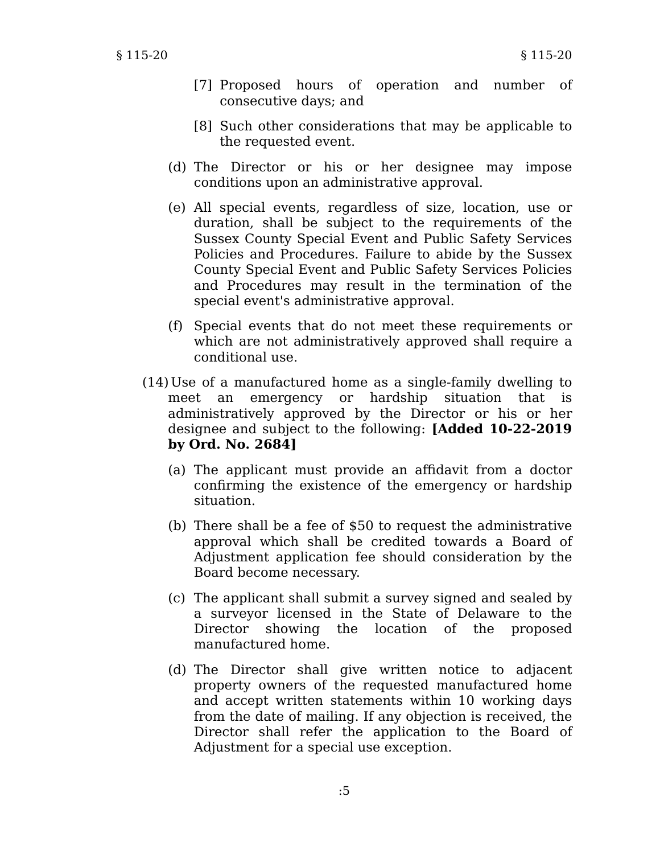- [7] Proposed hours of operation and number of consecutive days; and
- [8] Such other considerations that may be applicable to the requested event.
- (d) The Director or his or her designee may impose conditions upon an administrative approval.
- (e) All special events, regardless of size, location, use or duration, shall be subject to the requirements of the Sussex County Special Event and Public Safety Services Policies and Procedures. Failure to abide by the Sussex County Special Event and Public Safety Services Policies and Procedures may result in the termination of the special event's administrative approval.
- (f) Special events that do not meet these requirements or which are not administratively approved shall require a conditional use.
- (14) Use of a manufactured home as a single-family dwelling to meet an emergency or hardship situation that is administratively approved by the Director or his or her designee and subject to the following: **[Added 10-22-2019 by Ord. No. 2684]**
	- (a) The applicant must provide an affidavit from a doctor confirming the existence of the emergency or hardship situation.
	- (b) There shall be a fee of \$50 to request the administrative approval which shall be credited towards a Board of Adjustment application fee should consideration by the Board become necessary.
	- (c) The applicant shall submit a survey signed and sealed by a surveyor licensed in the State of Delaware to the Director showing the location of the proposed manufactured home.
	- (d) The Director shall give written notice to adjacent property owners of the requested manufactured home and accept written statements within 10 working days from the date of mailing. If any objection is received, the Director shall refer the application to the Board of Adjustment for a special use exception.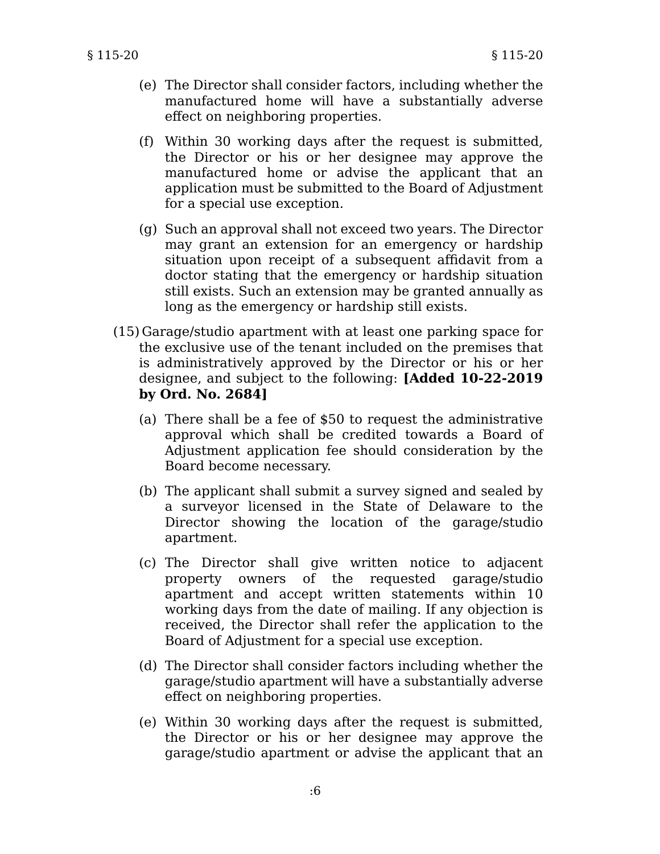- (e) The Director shall consider factors, including whether the manufactured home will have a substantially adverse effect on neighboring properties.
- (f) Within 30 working days after the request is submitted, the Director or his or her designee may approve the manufactured home or advise the applicant that an application must be submitted to the Board of Adjustment for a special use exception.
- (g) Such an approval shall not exceed two years. The Director may grant an extension for an emergency or hardship situation upon receipt of a subsequent affidavit from a doctor stating that the emergency or hardship situation still exists. Such an extension may be granted annually as long as the emergency or hardship still exists.
- (15) Garage/studio apartment with at least one parking space for the exclusive use of the tenant included on the premises that is administratively approved by the Director or his or her designee, and subject to the following: **[Added 10-22-2019 by Ord. No. 2684]**
	- (a) There shall be a fee of \$50 to request the administrative approval which shall be credited towards a Board of Adjustment application fee should consideration by the Board become necessary.
	- (b) The applicant shall submit a survey signed and sealed by a surveyor licensed in the State of Delaware to the Director showing the location of the garage/studio apartment.
	- (c) The Director shall give written notice to adjacent property owners of the requested garage/studio apartment and accept written statements within 10 working days from the date of mailing. If any objection is received, the Director shall refer the application to the Board of Adjustment for a special use exception.
	- (d) The Director shall consider factors including whether the garage/studio apartment will have a substantially adverse effect on neighboring properties.
	- (e) Within 30 working days after the request is submitted, the Director or his or her designee may approve the garage/studio apartment or advise the applicant that an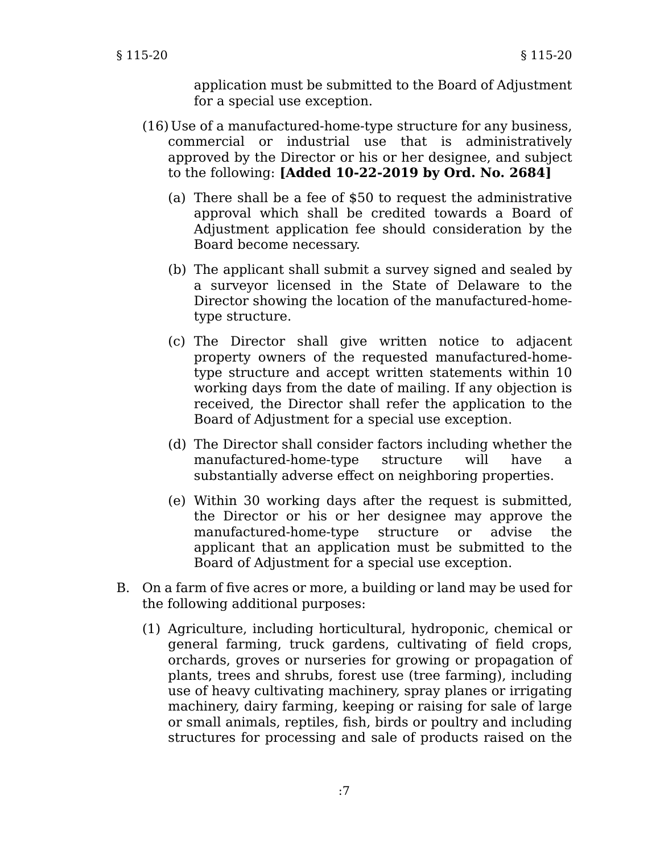application must be submitted to the Board of Adjustment for a special use exception.

- (16) Use of a manufactured-home-type structure for any business, commercial or industrial use that is administratively approved by the Director or his or her designee, and subject to the following: **[Added 10-22-2019 by Ord. No. 2684]**
	- (a) There shall be a fee of \$50 to request the administrative approval which shall be credited towards a Board of Adjustment application fee should consideration by the Board become necessary.
	- (b) The applicant shall submit a survey signed and sealed by a surveyor licensed in the State of Delaware to the Director showing the location of the manufactured-hometype structure.
	- (c) The Director shall give written notice to adjacent property owners of the requested manufactured-hometype structure and accept written statements within 10 working days from the date of mailing. If any objection is received, the Director shall refer the application to the Board of Adjustment for a special use exception.
	- (d) The Director shall consider factors including whether the manufactured-home-type structure will have a substantially adverse effect on neighboring properties.
	- (e) Within 30 working days after the request is submitted, the Director or his or her designee may approve the manufactured-home-type structure or advise the applicant that an application must be submitted to the Board of Adjustment for a special use exception.
- B. On a farm of five acres or more, a building or land may be used for the following additional purposes:
	- (1) Agriculture, including horticultural, hydroponic, chemical or general farming, truck gardens, cultivating of field crops, orchards, groves or nurseries for growing or propagation of plants, trees and shrubs, forest use (tree farming), including use of heavy cultivating machinery, spray planes or irrigating machinery, dairy farming, keeping or raising for sale of large or small animals, reptiles, fish, birds or poultry and including structures for processing and sale of products raised on the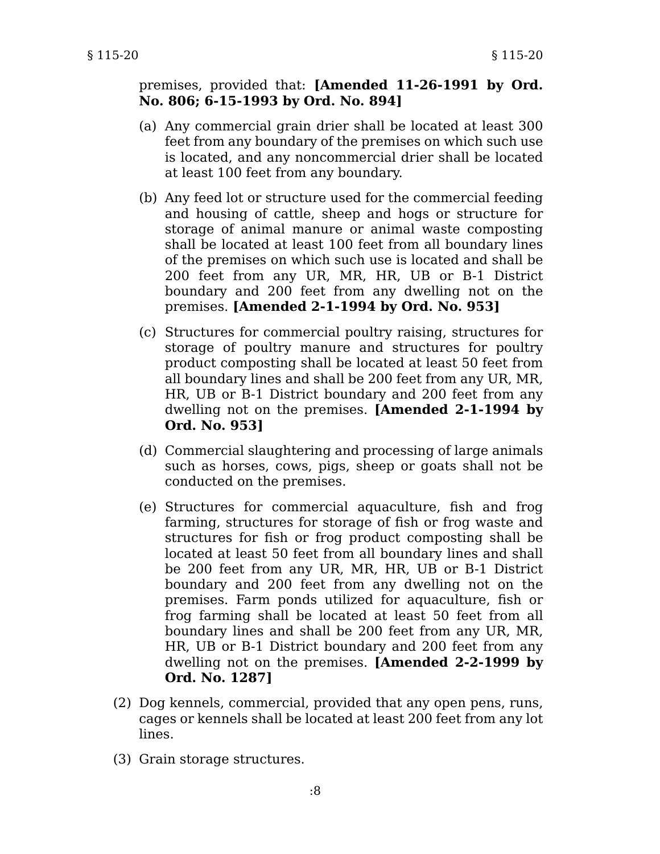premises, provided that: **[Amended 11-26-1991 by Ord. No. 806; 6-15-1993 by Ord. No. 894]**

- (a) Any commercial grain drier shall be located at least 300 feet from any boundary of the premises on which such use is located, and any noncommercial drier shall be located at least 100 feet from any boundary.
- (b) Any feed lot or structure used for the commercial feeding and housing of cattle, sheep and hogs or structure for storage of animal manure or animal waste composting shall be located at least 100 feet from all boundary lines of the premises on which such use is located and shall be 200 feet from any UR, MR, HR, UB or B-1 District boundary and 200 feet from any dwelling not on the premises. **[Amended 2-1-1994 by Ord. No. 953]**
- (c) Structures for commercial poultry raising, structures for storage of poultry manure and structures for poultry product composting shall be located at least 50 feet from all boundary lines and shall be 200 feet from any UR, MR, HR, UB or B-1 District boundary and 200 feet from any dwelling not on the premises. **[Amended 2-1-1994 by Ord. No. 953]**
- (d) Commercial slaughtering and processing of large animals such as horses, cows, pigs, sheep or goats shall not be conducted on the premises.
- (e) Structures for commercial aquaculture, fish and frog farming, structures for storage of fish or frog waste and structures for fish or frog product composting shall be located at least 50 feet from all boundary lines and shall be 200 feet from any UR, MR, HR, UB or B-1 District boundary and 200 feet from any dwelling not on the premises. Farm ponds utilized for aquaculture, fish or frog farming shall be located at least 50 feet from all boundary lines and shall be 200 feet from any UR, MR, HR, UB or B-1 District boundary and 200 feet from any dwelling not on the premises. **[Amended 2-2-1999 by Ord. No. 1287]**
- (2) Dog kennels, commercial, provided that any open pens, runs, cages or kennels shall be located at least 200 feet from any lot lines.
- (3) Grain storage structures.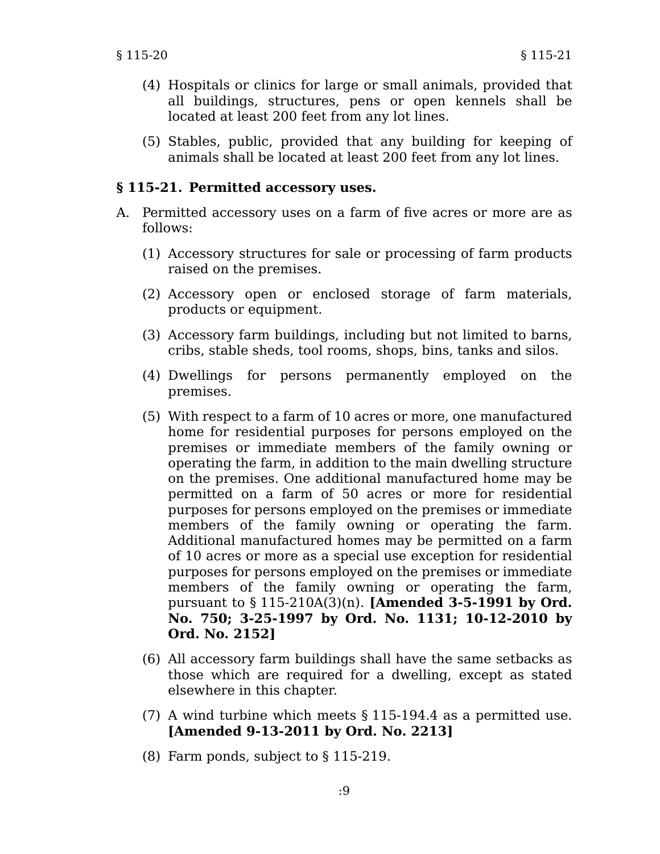- (4) Hospitals or clinics for large or small animals, provided that all buildings, structures, pens or open kennels shall be located at least 200 feet from any lot lines.
- (5) Stables, public, provided that any building for keeping of animals shall be located at least 200 feet from any lot lines.

#### **§ 115-21. Permitted accessory uses.**

- A. Permitted accessory uses on a farm of five acres or more are as follows:
	- (1) Accessory structures for sale or processing of farm products raised on the premises.
	- (2) Accessory open or enclosed storage of farm materials, products or equipment.
	- (3) Accessory farm buildings, including but not limited to barns, cribs, stable sheds, tool rooms, shops, bins, tanks and silos.
	- (4) Dwellings for persons permanently employed on the premises.
	- (5) With respect to a farm of 10 acres or more, one manufactured home for residential purposes for persons employed on the premises or immediate members of the family owning or operating the farm, in addition to the main dwelling structure on the premises. One additional manufactured home may be permitted on a farm of 50 acres or more for residential purposes for persons employed on the premises or immediate members of the family owning or operating the farm. Additional manufactured homes may be permitted on a farm of 10 acres or more as a special use exception for residential purposes for persons employed on the premises or immediate members of the family owning or operating the farm, pursuant to § 115-210A(3)(n). **[Amended 3-5-1991 by Ord. No. 750; 3-25-1997 by Ord. No. 1131; 10-12-2010 by Ord. No. 2152]**
	- (6) All accessory farm buildings shall have the same setbacks as those which are required for a dwelling, except as stated elsewhere in this chapter.
	- (7) A wind turbine which meets § 115-194.4 as a permitted use. **[Amended 9-13-2011 by Ord. No. 2213]**
	- (8) Farm ponds, subject to § 115-219.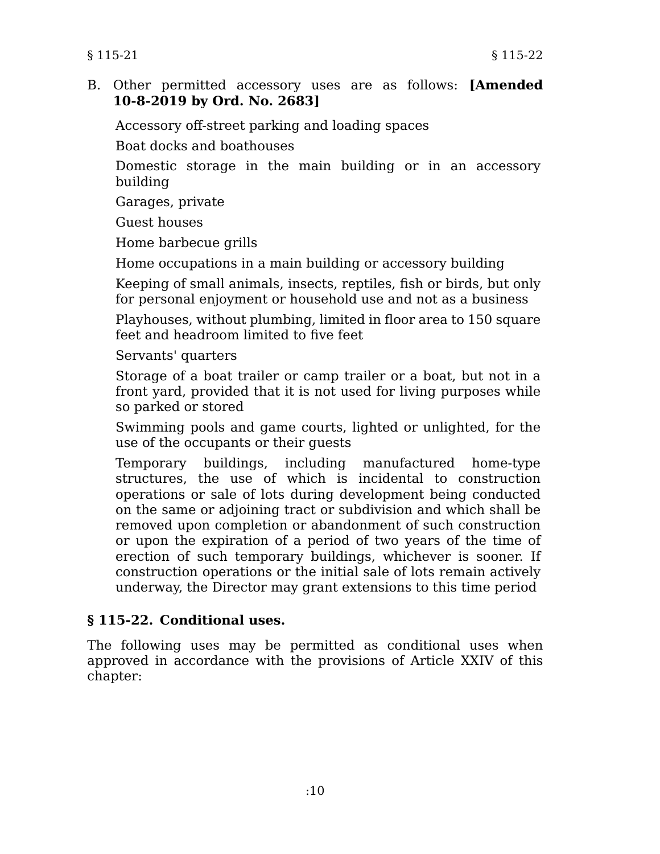B. Other permitted accessory uses are as follows: **[Amended 10-8-2019 by Ord. No. 2683]**

Accessory off-street parking and loading spaces

Boat docks and boathouses

Domestic storage in the main building or in an accessory building

Garages, private

Guest houses

Home barbecue grills

Home occupations in a main building or accessory building

Keeping of small animals, insects, reptiles, fish or birds, but only for personal enjoyment or household use and not as a business

Playhouses, without plumbing, limited in floor area to 150 square feet and headroom limited to five feet

Servants' quarters

Storage of a boat trailer or camp trailer or a boat, but not in a front yard, provided that it is not used for living purposes while so parked or stored

Swimming pools and game courts, lighted or unlighted, for the use of the occupants or their guests

Temporary buildings, including manufactured home-type structures, the use of which is incidental to construction operations or sale of lots during development being conducted on the same or adjoining tract or subdivision and which shall be removed upon completion or abandonment of such construction or upon the expiration of a period of two years of the time of erection of such temporary buildings, whichever is sooner. If construction operations or the initial sale of lots remain actively underway, the Director may grant extensions to this time period

# **§ 115-22. Conditional uses.**

The following uses may be permitted as conditional uses when approved in accordance with the provisions of Article XXIV of this chapter: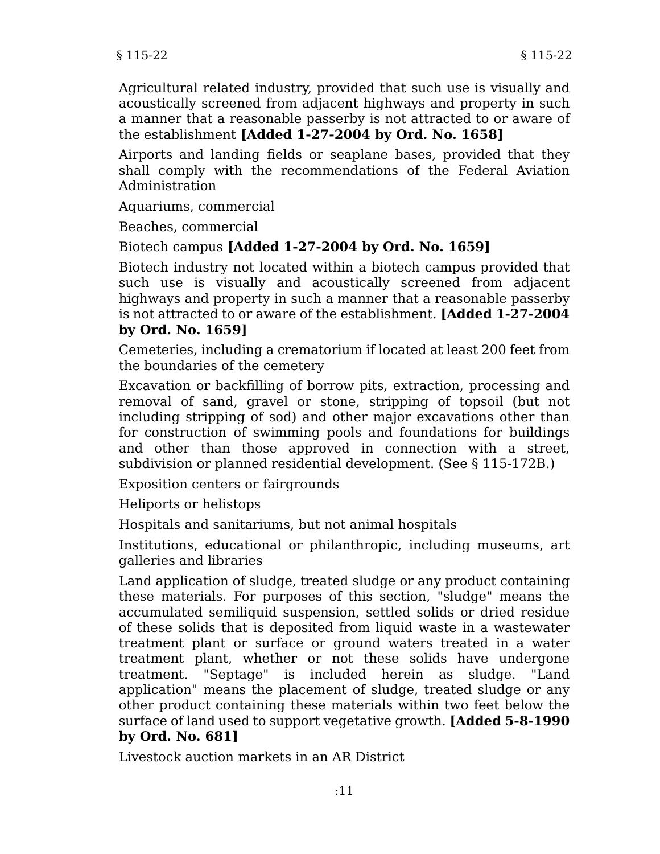Agricultural related industry, provided that such use is visually and acoustically screened from adjacent highways and property in such a manner that a reasonable passerby is not attracted to or aware of the establishment **[Added 1-27-2004 by Ord. No. 1658]**

Airports and landing fields or seaplane bases, provided that they shall comply with the recommendations of the Federal Aviation Administration

Aquariums, commercial

Beaches, commercial

## Biotech campus **[Added 1-27-2004 by Ord. No. 1659]**

Biotech industry not located within a biotech campus provided that such use is visually and acoustically screened from adjacent highways and property in such a manner that a reasonable passerby is not attracted to or aware of the establishment. **[Added 1-27-2004 by Ord. No. 1659]**

Cemeteries, including a crematorium if located at least 200 feet from the boundaries of the cemetery

Excavation or backfilling of borrow pits, extraction, processing and removal of sand, gravel or stone, stripping of topsoil (but not including stripping of sod) and other major excavations other than for construction of swimming pools and foundations for buildings and other than those approved in connection with a street, subdivision or planned residential development. (See § 115-172B.)

Exposition centers or fairgrounds

Heliports or helistops

Hospitals and sanitariums, but not animal hospitals

Institutions, educational or philanthropic, including museums, art galleries and libraries

Land application of sludge, treated sludge or any product containing these materials. For purposes of this section, "sludge" means the accumulated semiliquid suspension, settled solids or dried residue of these solids that is deposited from liquid waste in a wastewater treatment plant or surface or ground waters treated in a water treatment plant, whether or not these solids have undergone treatment. "Septage" is included herein as sludge. "Land application" means the placement of sludge, treated sludge or any other product containing these materials within two feet below the surface of land used to support vegetative growth. **[Added 5-8-1990 by Ord. No. 681]**

Livestock auction markets in an AR District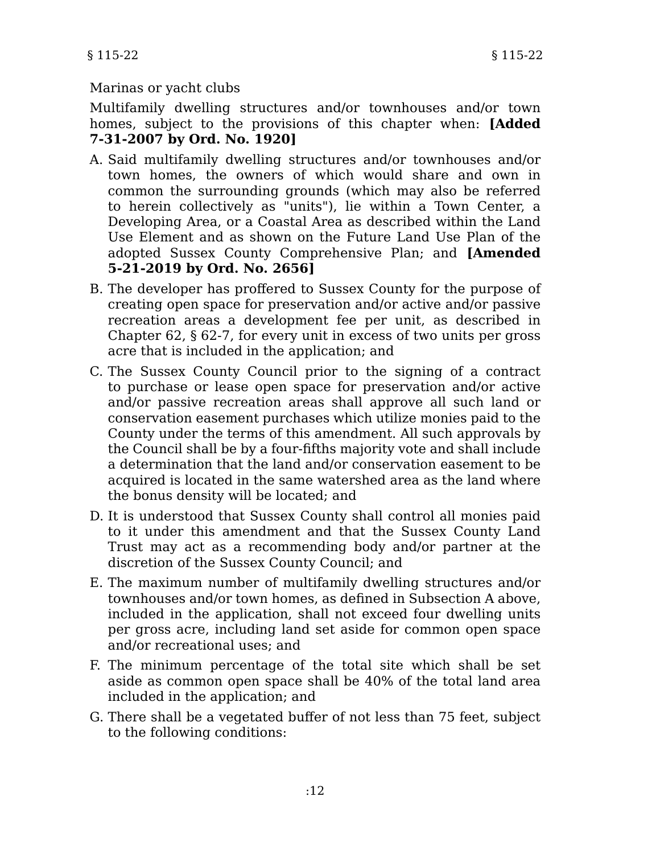## Marinas or yacht clubs

Multifamily dwelling structures and/or townhouses and/or town homes, subject to the provisions of this chapter when: **[Added 7-31-2007 by Ord. No. 1920]**

- A. Said multifamily dwelling structures and/or townhouses and/or town homes, the owners of which would share and own in common the surrounding grounds (which may also be referred to herein collectively as "units"), lie within a Town Center, a Developing Area, or a Coastal Area as described within the Land Use Element and as shown on the Future Land Use Plan of the adopted Sussex County Comprehensive Plan; and **[Amended 5-21-2019 by Ord. No. 2656]**
- B. The developer has proffered to Sussex County for the purpose of creating open space for preservation and/or active and/or passive recreation areas a development fee per unit, as described in Chapter 62, § 62-7, for every unit in excess of two units per gross acre that is included in the application; and
- C. The Sussex County Council prior to the signing of a contract to purchase or lease open space for preservation and/or active and/or passive recreation areas shall approve all such land or conservation easement purchases which utilize monies paid to the County under the terms of this amendment. All such approvals by the Council shall be by a four-fifths majority vote and shall include a determination that the land and/or conservation easement to be acquired is located in the same watershed area as the land where the bonus density will be located; and
- D. It is understood that Sussex County shall control all monies paid to it under this amendment and that the Sussex County Land Trust may act as a recommending body and/or partner at the discretion of the Sussex County Council; and
- E. The maximum number of multifamily dwelling structures and/or townhouses and/or town homes, as defined in Subsection A above, included in the application, shall not exceed four dwelling units per gross acre, including land set aside for common open space and/or recreational uses; and
- F. The minimum percentage of the total site which shall be set aside as common open space shall be 40% of the total land area included in the application; and
- G. There shall be a vegetated buffer of not less than 75 feet, subject to the following conditions: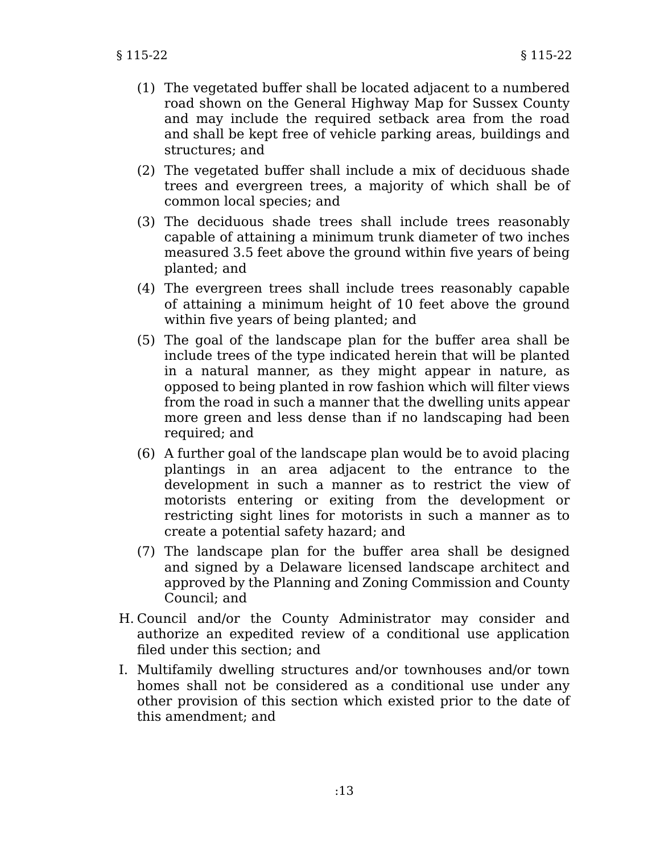- (1) The vegetated buffer shall be located adjacent to a numbered road shown on the General Highway Map for Sussex County and may include the required setback area from the road and shall be kept free of vehicle parking areas, buildings and structures; and
- (2) The vegetated buffer shall include a mix of deciduous shade trees and evergreen trees, a majority of which shall be of common local species; and
- (3) The deciduous shade trees shall include trees reasonably capable of attaining a minimum trunk diameter of two inches measured 3.5 feet above the ground within five years of being planted; and
- (4) The evergreen trees shall include trees reasonably capable of attaining a minimum height of 10 feet above the ground within five years of being planted; and
- (5) The goal of the landscape plan for the buffer area shall be include trees of the type indicated herein that will be planted in a natural manner, as they might appear in nature, as opposed to being planted in row fashion which will filter views from the road in such a manner that the dwelling units appear more green and less dense than if no landscaping had been required; and
- (6) A further goal of the landscape plan would be to avoid placing plantings in an area adjacent to the entrance to the development in such a manner as to restrict the view of motorists entering or exiting from the development or restricting sight lines for motorists in such a manner as to create a potential safety hazard; and
- (7) The landscape plan for the buffer area shall be designed and signed by a Delaware licensed landscape architect and approved by the Planning and Zoning Commission and County Council; and
- H. Council and/or the County Administrator may consider and authorize an expedited review of a conditional use application filed under this section; and
- I. Multifamily dwelling structures and/or townhouses and/or town homes shall not be considered as a conditional use under any other provision of this section which existed prior to the date of this amendment; and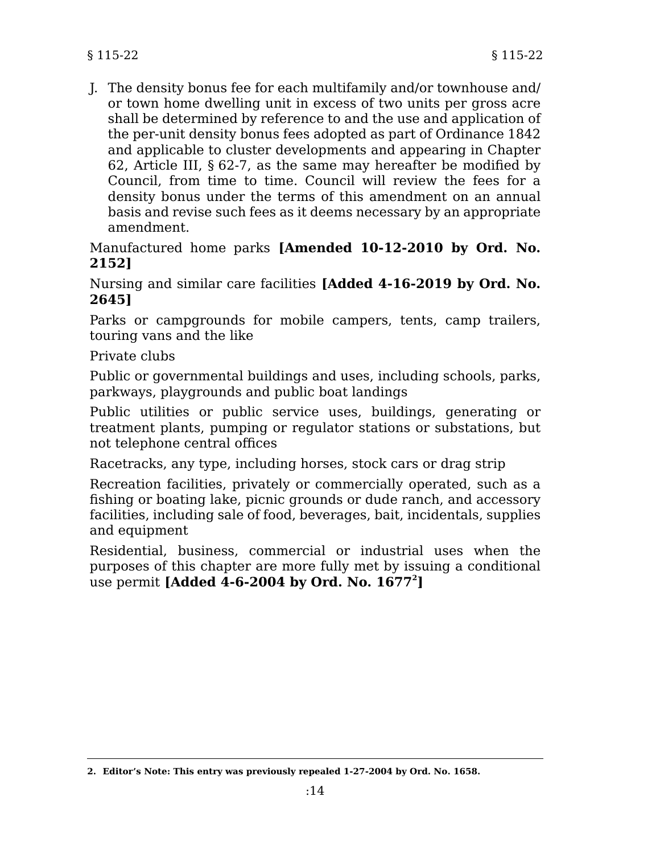J. The density bonus fee for each multifamily and/or townhouse and/ or town home dwelling unit in excess of two units per gross acre shall be determined by reference to and the use and application of the per-unit density bonus fees adopted as part of Ordinance 1842 and applicable to cluster developments and appearing in Chapter 62, Article III, § 62-7, as the same may hereafter be modified by Council, from time to time. Council will review the fees for a density bonus under the terms of this amendment on an annual basis and revise such fees as it deems necessary by an appropriate amendment.

Manufactured home parks **[Amended 10-12-2010 by Ord. No. 2152]**

Nursing and similar care facilities **[Added 4-16-2019 by Ord. No. 2645]**

Parks or campgrounds for mobile campers, tents, camp trailers, touring vans and the like

Private clubs

Public or governmental buildings and uses, including schools, parks, parkways, playgrounds and public boat landings

Public utilities or public service uses, buildings, generating or treatment plants, pumping or regulator stations or substations, but not telephone central offices

Racetracks, any type, including horses, stock cars or drag strip

Recreation facilities, privately or commercially operated, such as a fishing or boating lake, picnic grounds or dude ranch, and accessory facilities, including sale of food, beverages, bait, incidentals, supplies and equipment

Residential, business, commercial or industrial uses when the purposes of this chapter are more fully met by issuing a conditional use permit **[Added 4-6-2004 by Ord. No. 1677<sup>2</sup> ]**

**<sup>2.</sup> Editor's Note: This entry was previously repealed 1-27-2004 by Ord. No. 1658.**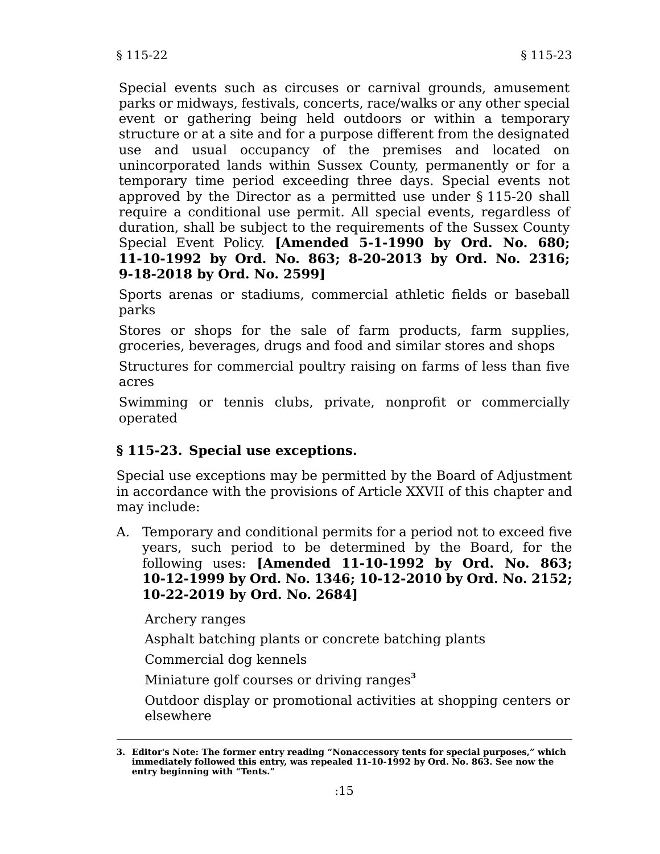Special events such as circuses or carnival grounds, amusement parks or midways, festivals, concerts, race/walks or any other special event or gathering being held outdoors or within a temporary structure or at a site and for a purpose different from the designated use and usual occupancy of the premises and located on unincorporated lands within Sussex County, permanently or for a temporary time period exceeding three days. Special events not approved by the Director as a permitted use under § 115-20 shall require a conditional use permit. All special events, regardless of duration, shall be subject to the requirements of the Sussex County Special Event Policy. **[Amended 5-1-1990 by Ord. No. 680; 11-10-1992 by Ord. No. 863; 8-20-2013 by Ord. No. 2316; 9-18-2018 by Ord. No. 2599]**

Sports arenas or stadiums, commercial athletic fields or baseball parks

Stores or shops for the sale of farm products, farm supplies, groceries, beverages, drugs and food and similar stores and shops

Structures for commercial poultry raising on farms of less than five acres

Swimming or tennis clubs, private, nonprofit or commercially operated

# **§ 115-23. Special use exceptions.**

Special use exceptions may be permitted by the Board of Adjustment in accordance with the provisions of Article XXVII of this chapter and may include:

A. Temporary and conditional permits for a period not to exceed five years, such period to be determined by the Board, for the following uses: **[Amended 11-10-1992 by Ord. No. 863; 10-12-1999 by Ord. No. 1346; 10-12-2010 by Ord. No. 2152; 10-22-2019 by Ord. No. 2684]**

Archery ranges

Asphalt batching plants or concrete batching plants

Commercial dog kennels

Miniature golf courses or driving ranges**<sup>3</sup>**

Outdoor display or promotional activities at shopping centers or elsewhere

**<sup>3.</sup> Editor's Note: The former entry reading "Nonaccessory tents for special purposes," which immediately followed this entry, was repealed 11-10-1992 by Ord. No. 863. See now the entry beginning with "Tents."**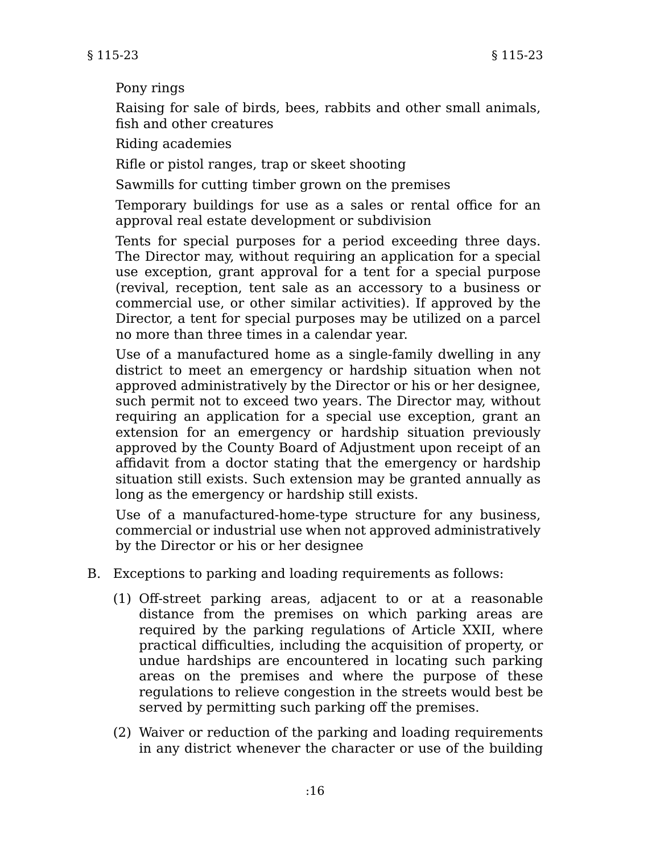### Pony rings

Raising for sale of birds, bees, rabbits and other small animals, fish and other creatures

Riding academies

Rifle or pistol ranges, trap or skeet shooting

Sawmills for cutting timber grown on the premises

Temporary buildings for use as a sales or rental office for an approval real estate development or subdivision

Tents for special purposes for a period exceeding three days. The Director may, without requiring an application for a special use exception, grant approval for a tent for a special purpose (revival, reception, tent sale as an accessory to a business or commercial use, or other similar activities). If approved by the Director, a tent for special purposes may be utilized on a parcel no more than three times in a calendar year.

Use of a manufactured home as a single-family dwelling in any district to meet an emergency or hardship situation when not approved administratively by the Director or his or her designee, such permit not to exceed two years. The Director may, without requiring an application for a special use exception, grant an extension for an emergency or hardship situation previously approved by the County Board of Adjustment upon receipt of an affidavit from a doctor stating that the emergency or hardship situation still exists. Such extension may be granted annually as long as the emergency or hardship still exists.

Use of a manufactured-home-type structure for any business, commercial or industrial use when not approved administratively by the Director or his or her designee

- B. Exceptions to parking and loading requirements as follows:
	- (1) Off-street parking areas, adjacent to or at a reasonable distance from the premises on which parking areas are required by the parking regulations of Article XXII, where practical difficulties, including the acquisition of property, or undue hardships are encountered in locating such parking areas on the premises and where the purpose of these regulations to relieve congestion in the streets would best be served by permitting such parking off the premises.
	- (2) Waiver or reduction of the parking and loading requirements in any district whenever the character or use of the building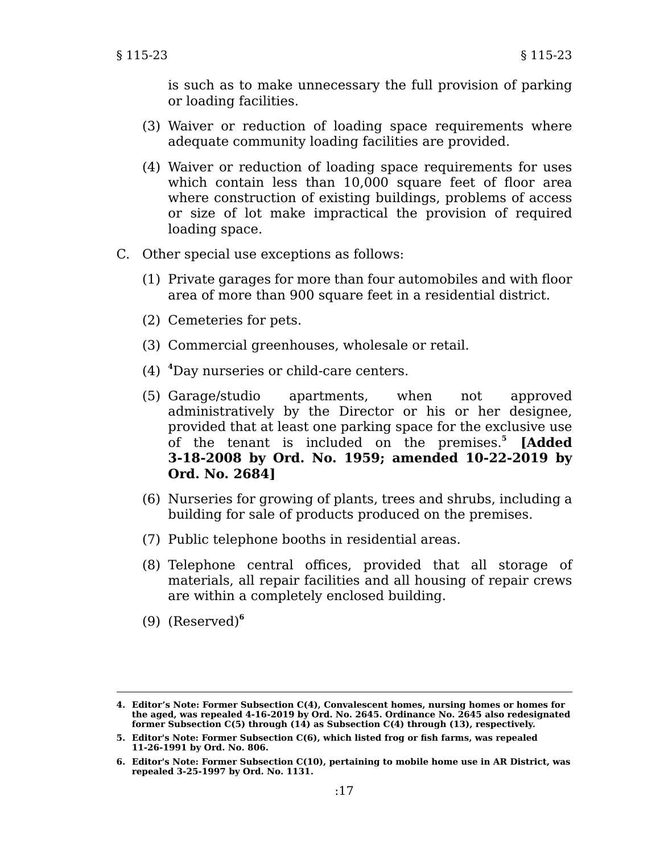is such as to make unnecessary the full provision of parking or loading facilities.

- (3) Waiver or reduction of loading space requirements where adequate community loading facilities are provided.
- (4) Waiver or reduction of loading space requirements for uses which contain less than 10,000 square feet of floor area where construction of existing buildings, problems of access or size of lot make impractical the provision of required loading space.
- C. Other special use exceptions as follows:
	- (1) Private garages for more than four automobiles and with floor area of more than 900 square feet in a residential district.
	- (2) Cemeteries for pets.
	- (3) Commercial greenhouses, wholesale or retail.
	- (4) **<sup>4</sup>**Day nurseries or child-care centers.
	- (5) Garage/studio apartments, when not approved administratively by the Director or his or her designee, provided that at least one parking space for the exclusive use of the tenant is included on the premises.**<sup>5</sup> [Added 3-18-2008 by Ord. No. 1959; amended 10-22-2019 by Ord. No. 2684]**
	- (6) Nurseries for growing of plants, trees and shrubs, including a building for sale of products produced on the premises.
	- (7) Public telephone booths in residential areas.
	- (8) Telephone central offices, provided that all storage of materials, all repair facilities and all housing of repair crews are within a completely enclosed building.
	- (9) (Reserved)**<sup>6</sup>**

**<sup>4.</sup> Editor's Note: Former Subsection C(4), Convalescent homes, nursing homes or homes for the aged, was repealed 4-16-2019 by Ord. No. 2645. Ordinance No. 2645 also redesignated former Subsection C(5) through (14) as Subsection C(4) through (13), respectively.**

**<sup>5.</sup> Editor's Note: Former Subsection C(6), which listed frog or fish farms, was repealed 11-26-1991 by Ord. No. 806.**

**<sup>6.</sup> Editor's Note: Former Subsection C(10), pertaining to mobile home use in AR District, was repealed 3-25-1997 by Ord. No. 1131.**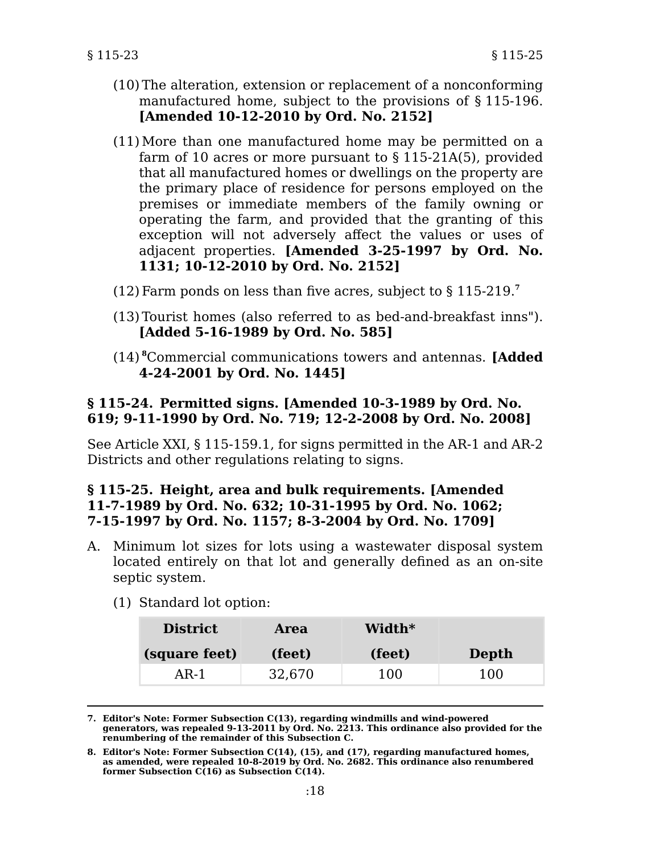- (10) The alteration, extension or replacement of a nonconforming manufactured home, subject to the provisions of § 115-196. **[Amended 10-12-2010 by Ord. No. 2152]**
- (11)More than one manufactured home may be permitted on a farm of 10 acres or more pursuant to § 115-21A(5), provided that all manufactured homes or dwellings on the property are the primary place of residence for persons employed on the premises or immediate members of the family owning or operating the farm, and provided that the granting of this exception will not adversely affect the values or uses of adjacent properties. **[Amended 3-25-1997 by Ord. No. 1131; 10-12-2010 by Ord. No. 2152]**
- (12) Farm ponds on less than five acres, subject to  $\S 115-219$ .<sup>7</sup>
- (13) Tourist homes (also referred to as bed-and-breakfast inns"). **[Added 5-16-1989 by Ord. No. 585]**
- (14) **<sup>8</sup>**Commercial communications towers and antennas. **[Added 4-24-2001 by Ord. No. 1445]**

## **§ 115-24. Permitted signs. [Amended 10-3-1989 by Ord. No. 619; 9-11-1990 by Ord. No. 719; 12-2-2008 by Ord. No. 2008]**

See Article XXI, § 115-159.1, for signs permitted in the AR-1 and AR-2 Districts and other regulations relating to signs.

## **§ 115-25. Height, area and bulk requirements. [Amended 11-7-1989 by Ord. No. 632; 10-31-1995 by Ord. No. 1062; 7-15-1997 by Ord. No. 1157; 8-3-2004 by Ord. No. 1709]**

- A. Minimum lot sizes for lots using a wastewater disposal system located entirely on that lot and generally defined as an on-site septic system.
	- (1) Standard lot option:

| <b>District</b> | Area   | Width* |       |
|-----------------|--------|--------|-------|
| (square feet)   | (feet) | (feet) | Depth |
| AR-1            | 32,670 | 100    | 100   |

**7. Editor's Note: Former Subsection C(13), regarding windmills and wind-powered generators, was repealed 9-13-2011 by Ord. No. 2213. This ordinance also provided for the renumbering of the remainder of this Subsection C.**

**<sup>8.</sup> Editor's Note: Former Subsection C(14), (15), and (17), regarding manufactured homes, as amended, were repealed 10-8-2019 by Ord. No. 2682. This ordinance also renumbered former Subsection C(16) as Subsection C(14).**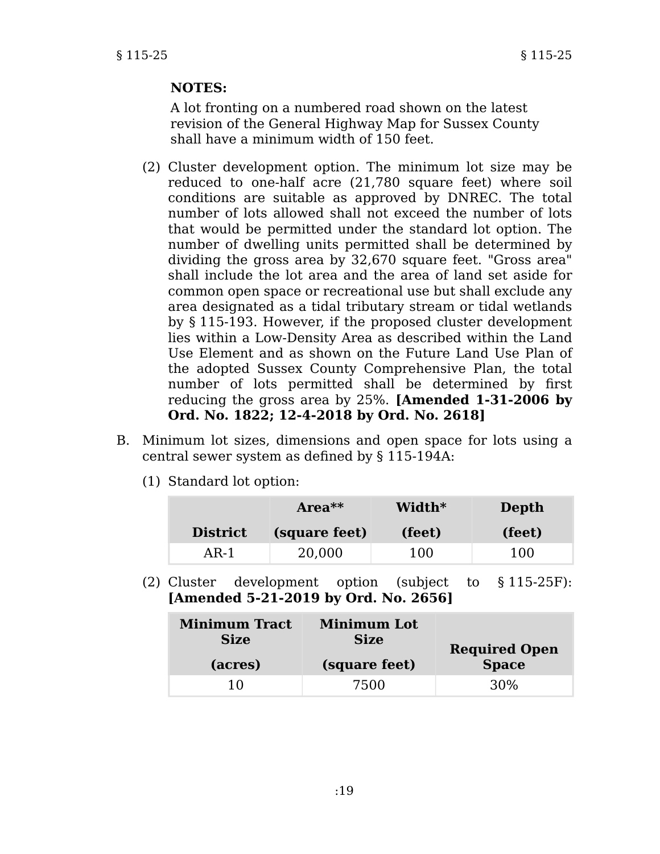# **NOTES:**

A lot fronting on a numbered road shown on the latest revision of the General Highway Map for Sussex County shall have a minimum width of 150 feet.

- (2) Cluster development option. The minimum lot size may be reduced to one-half acre (21,780 square feet) where soil conditions are suitable as approved by DNREC. The total number of lots allowed shall not exceed the number of lots that would be permitted under the standard lot option. The number of dwelling units permitted shall be determined by dividing the gross area by 32,670 square feet. "Gross area" shall include the lot area and the area of land set aside for common open space or recreational use but shall exclude any area designated as a tidal tributary stream or tidal wetlands by § 115-193. However, if the proposed cluster development lies within a Low-Density Area as described within the Land Use Element and as shown on the Future Land Use Plan of the adopted Sussex County Comprehensive Plan, the total number of lots permitted shall be determined by first reducing the gross area by 25%. **[Amended 1-31-2006 by Ord. No. 1822; 12-4-2018 by Ord. No. 2618]**
- B. Minimum lot sizes, dimensions and open space for lots using a central sewer system as defined by § 115-194A:
	- (1) Standard lot option:

|                 | $Area**$      | Width* | Depth  |
|-----------------|---------------|--------|--------|
| <b>District</b> | (square feet) | (feet) | (feet) |
| AR-1            | 20,000        | 100    | 100    |

(2) Cluster development option (subject to § 115-25F): **[Amended 5-21-2019 by Ord. No. 2656]**

| <b>Minimum Tract</b><br><b>Size</b> | <b>Minimum Lot</b><br><b>Size</b> | <b>Required Open</b> |
|-------------------------------------|-----------------------------------|----------------------|
| (acres)                             | (square feet)                     | <b>Space</b>         |
| 10                                  | 7500                              | 30%                  |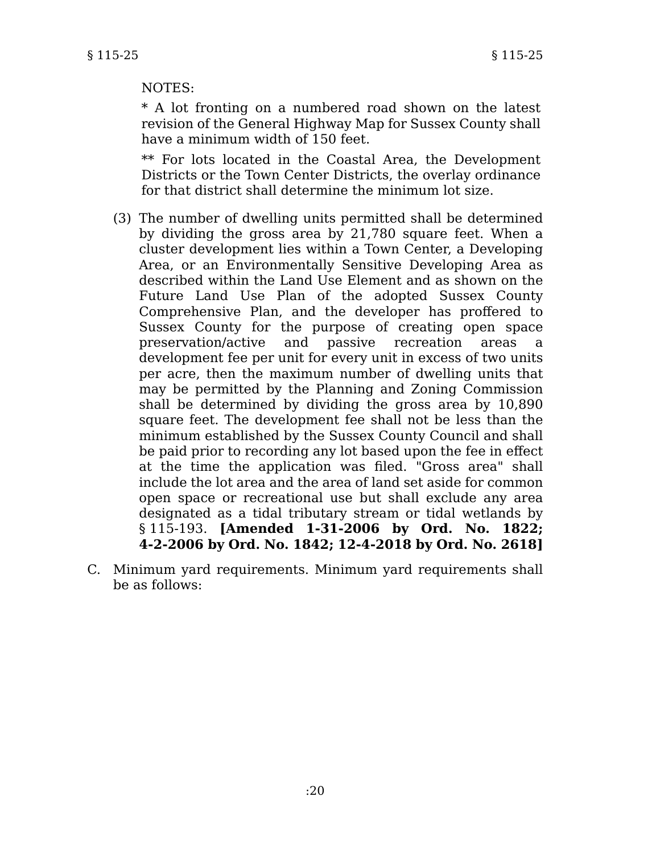#### NOTES:

\* A lot fronting on a numbered road shown on the latest revision of the General Highway Map for Sussex County shall have a minimum width of 150 feet.

\*\* For lots located in the Coastal Area, the Development Districts or the Town Center Districts, the overlay ordinance for that district shall determine the minimum lot size.

- (3) The number of dwelling units permitted shall be determined by dividing the gross area by 21,780 square feet. When a cluster development lies within a Town Center, a Developing Area, or an Environmentally Sensitive Developing Area as described within the Land Use Element and as shown on the Future Land Use Plan of the adopted Sussex County Comprehensive Plan, and the developer has proffered to Sussex County for the purpose of creating open space preservation/active and passive recreation areas a development fee per unit for every unit in excess of two units per acre, then the maximum number of dwelling units that may be permitted by the Planning and Zoning Commission shall be determined by dividing the gross area by 10,890 square feet. The development fee shall not be less than the minimum established by the Sussex County Council and shall be paid prior to recording any lot based upon the fee in effect at the time the application was filed. "Gross area" shall include the lot area and the area of land set aside for common open space or recreational use but shall exclude any area designated as a tidal tributary stream or tidal wetlands by § 115-193. **[Amended 1-31-2006 by Ord. No. 1822; 4-2-2006 by Ord. No. 1842; 12-4-2018 by Ord. No. 2618]**
- C. Minimum yard requirements. Minimum yard requirements shall be as follows: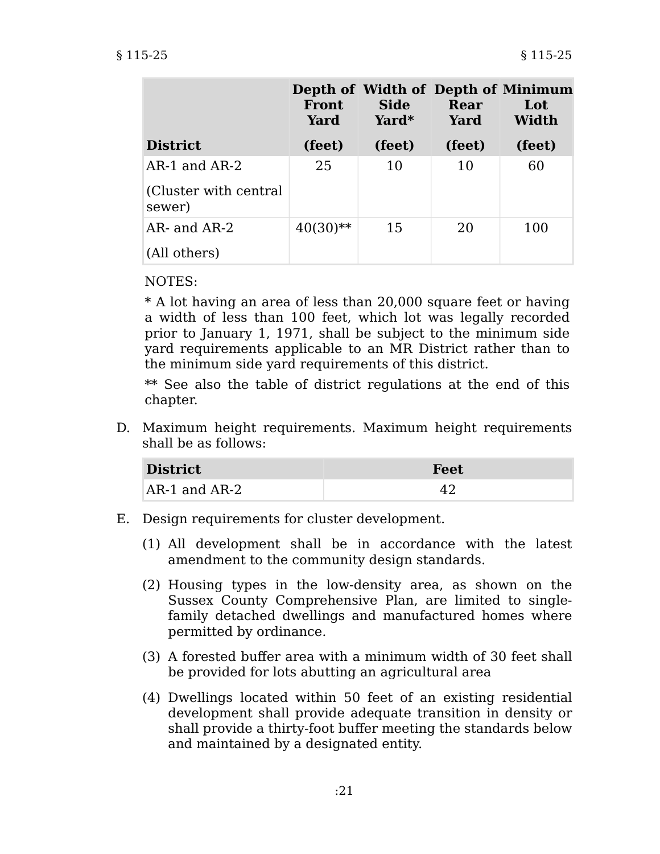|                                  | <b>Front</b><br>Yard | <b>Side</b><br>Yard* | Rear<br>Yard | Depth of Width of Depth of Minimum<br>Lot<br>Width |
|----------------------------------|----------------------|----------------------|--------------|----------------------------------------------------|
| <b>District</b>                  | (feet)               | (feet)               | (feet)       | (feet)                                             |
| AR-1 and AR-2                    | 25                   | 10                   | 10           | 60                                                 |
| (Cluster with central)<br>sewer) |                      |                      |              |                                                    |
| AR- and AR-2                     | $40(30)$ **          | 15                   | 20           | 100                                                |
| (All others)                     |                      |                      |              |                                                    |

NOTES:

\* A lot having an area of less than 20,000 square feet or having a width of less than 100 feet, which lot was legally recorded prior to January 1, 1971, shall be subject to the minimum side yard requirements applicable to an MR District rather than to the minimum side yard requirements of this district.

\*\* See also the table of district regulations at the end of this chapter.

D. Maximum height requirements. Maximum height requirements shall be as follows:

| <b>District</b>   | <b>Feet</b> |
|-------------------|-------------|
| $AR-1$ and $AR-2$ |             |

- E. Design requirements for cluster development.
	- (1) All development shall be in accordance with the latest amendment to the community design standards.
	- (2) Housing types in the low-density area, as shown on the Sussex County Comprehensive Plan, are limited to singlefamily detached dwellings and manufactured homes where permitted by ordinance.
	- (3) A forested buffer area with a minimum width of 30 feet shall be provided for lots abutting an agricultural area
	- (4) Dwellings located within 50 feet of an existing residential development shall provide adequate transition in density or shall provide a thirty-foot buffer meeting the standards below and maintained by a designated entity.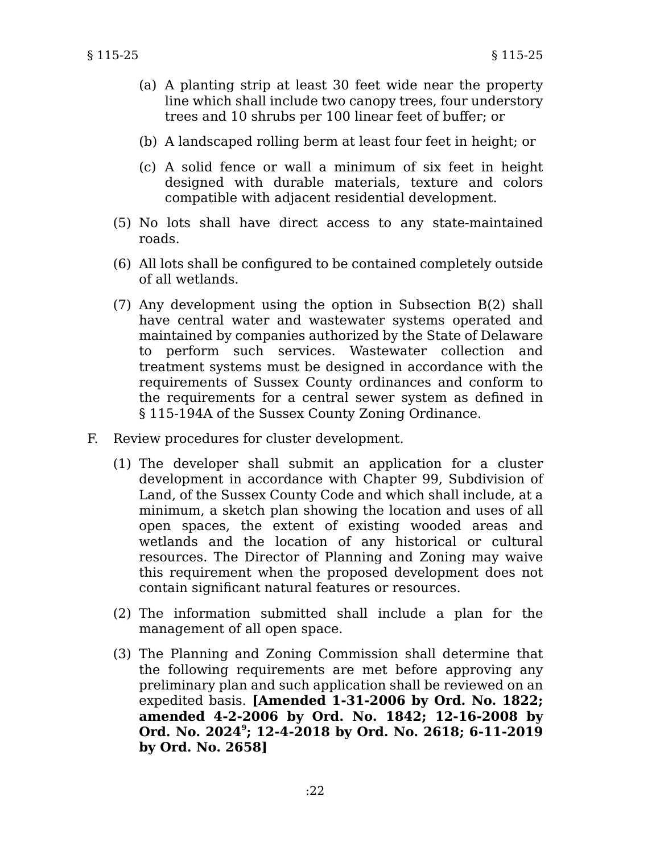- (a) A planting strip at least 30 feet wide near the property line which shall include two canopy trees, four understory trees and 10 shrubs per 100 linear feet of buffer; or
- (b) A landscaped rolling berm at least four feet in height; or
- (c) A solid fence or wall a minimum of six feet in height designed with durable materials, texture and colors compatible with adjacent residential development.
- (5) No lots shall have direct access to any state-maintained roads.
- (6) All lots shall be configured to be contained completely outside of all wetlands.
- (7) Any development using the option in Subsection B(2) shall have central water and wastewater systems operated and maintained by companies authorized by the State of Delaware to perform such services. Wastewater collection and treatment systems must be designed in accordance with the requirements of Sussex County ordinances and conform to the requirements for a central sewer system as defined in § 115-194A of the Sussex County Zoning Ordinance.
- F. Review procedures for cluster development.
	- (1) The developer shall submit an application for a cluster development in accordance with Chapter 99, Subdivision of Land, of the Sussex County Code and which shall include, at a minimum, a sketch plan showing the location and uses of all open spaces, the extent of existing wooded areas and wetlands and the location of any historical or cultural resources. The Director of Planning and Zoning may waive this requirement when the proposed development does not contain significant natural features or resources.
	- (2) The information submitted shall include a plan for the management of all open space.
	- (3) The Planning and Zoning Commission shall determine that the following requirements are met before approving any preliminary plan and such application shall be reviewed on an expedited basis. **[Amended 1-31-2006 by Ord. No. 1822; amended 4-2-2006 by Ord. No. 1842; 12-16-2008 by Ord. No. 2024<sup>9</sup> ; 12-4-2018 by Ord. No. 2618; 6-11-2019 by Ord. No. 2658]**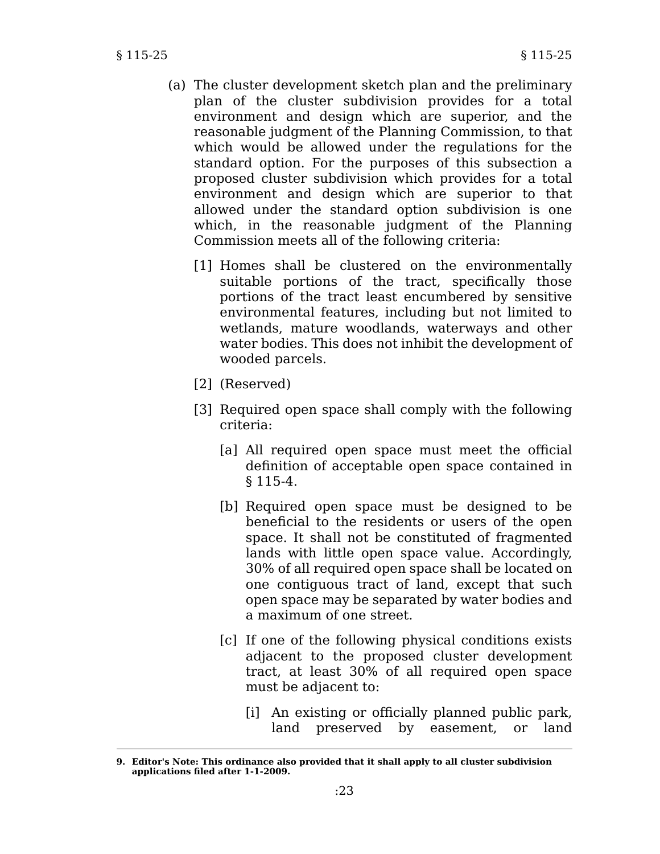- (a) The cluster development sketch plan and the preliminary plan of the cluster subdivision provides for a total environment and design which are superior, and the reasonable judgment of the Planning Commission, to that which would be allowed under the regulations for the standard option. For the purposes of this subsection a proposed cluster subdivision which provides for a total environment and design which are superior to that allowed under the standard option subdivision is one which, in the reasonable judgment of the Planning Commission meets all of the following criteria:
	- [1] Homes shall be clustered on the environmentally suitable portions of the tract, specifically those portions of the tract least encumbered by sensitive environmental features, including but not limited to wetlands, mature woodlands, waterways and other water bodies. This does not inhibit the development of wooded parcels.
	- [2] (Reserved)
	- [3] Required open space shall comply with the following criteria:
		- [a] All required open space must meet the official definition of acceptable open space contained in § 115-4.
		- [b] Required open space must be designed to be beneficial to the residents or users of the open space. It shall not be constituted of fragmented lands with little open space value. Accordingly, 30% of all required open space shall be located on one contiguous tract of land, except that such open space may be separated by water bodies and a maximum of one street.
		- [c] If one of the following physical conditions exists adjacent to the proposed cluster development tract, at least 30% of all required open space must be adjacent to:
			- [i] An existing or officially planned public park, land preserved by easement, or land

**<sup>9.</sup> Editor's Note: This ordinance also provided that it shall apply to all cluster subdivision applications filed after 1-1-2009.**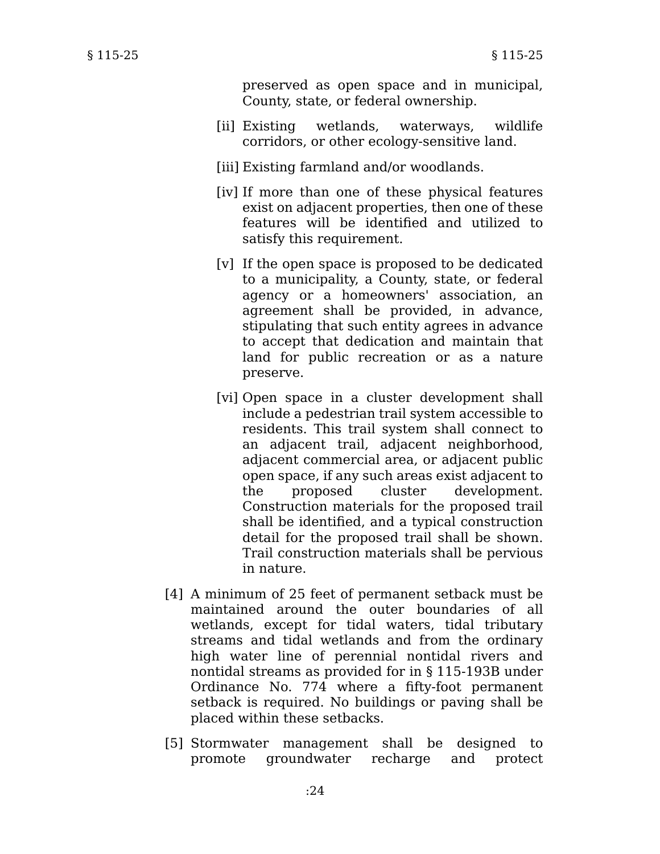preserved as open space and in municipal, County, state, or federal ownership.

- [ii] Existing wetlands, waterways, wildlife corridors, or other ecology-sensitive land.
- [iii] Existing farmland and/or woodlands.
- [iv] If more than one of these physical features exist on adjacent properties, then one of these features will be identified and utilized to satisfy this requirement.
- [v] If the open space is proposed to be dedicated to a municipality, a County, state, or federal agency or a homeowners' association, an agreement shall be provided, in advance, stipulating that such entity agrees in advance to accept that dedication and maintain that land for public recreation or as a nature preserve.
- [vi] Open space in a cluster development shall include a pedestrian trail system accessible to residents. This trail system shall connect to an adjacent trail, adjacent neighborhood, adjacent commercial area, or adjacent public open space, if any such areas exist adjacent to the proposed cluster development. Construction materials for the proposed trail shall be identified, and a typical construction detail for the proposed trail shall be shown. Trail construction materials shall be pervious in nature.
- [4] A minimum of 25 feet of permanent setback must be maintained around the outer boundaries of all wetlands, except for tidal waters, tidal tributary streams and tidal wetlands and from the ordinary high water line of perennial nontidal rivers and nontidal streams as provided for in § 115-193B under Ordinance No. 774 where a fifty-foot permanent setback is required. No buildings or paving shall be placed within these setbacks.
- [5] Stormwater management shall be designed to promote groundwater recharge and protect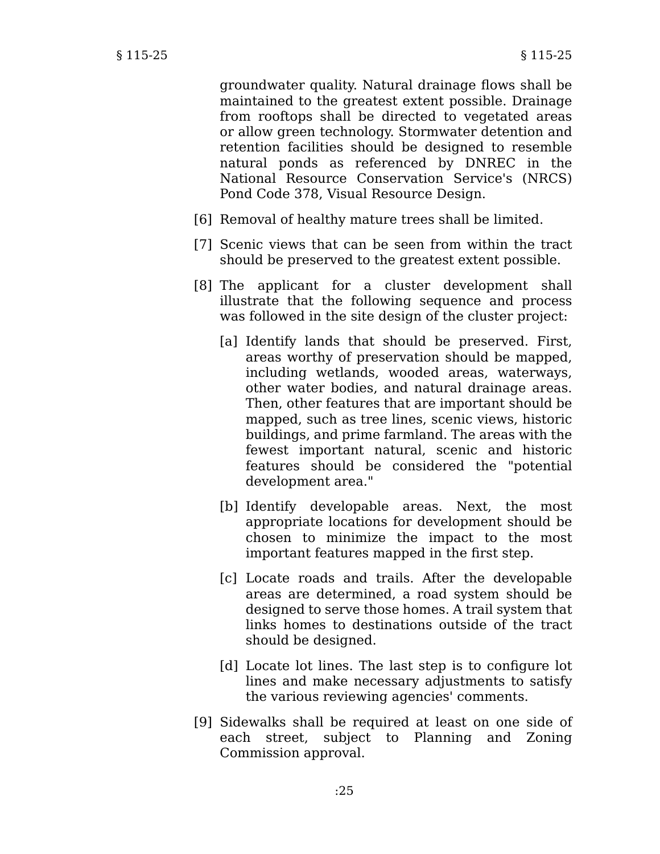groundwater quality. Natural drainage flows shall be maintained to the greatest extent possible. Drainage from rooftops shall be directed to vegetated areas or allow green technology. Stormwater detention and retention facilities should be designed to resemble natural ponds as referenced by DNREC in the National Resource Conservation Service's (NRCS) Pond Code 378, Visual Resource Design.

- [6] Removal of healthy mature trees shall be limited.
- [7] Scenic views that can be seen from within the tract should be preserved to the greatest extent possible.
- [8] The applicant for a cluster development shall illustrate that the following sequence and process was followed in the site design of the cluster project:
	- [a] Identify lands that should be preserved. First, areas worthy of preservation should be mapped, including wetlands, wooded areas, waterways, other water bodies, and natural drainage areas. Then, other features that are important should be mapped, such as tree lines, scenic views, historic buildings, and prime farmland. The areas with the fewest important natural, scenic and historic features should be considered the "potential development area."
	- [b] Identify developable areas. Next, the most appropriate locations for development should be chosen to minimize the impact to the most important features mapped in the first step.
	- [c] Locate roads and trails. After the developable areas are determined, a road system should be designed to serve those homes. A trail system that links homes to destinations outside of the tract should be designed.
	- [d] Locate lot lines. The last step is to configure lot lines and make necessary adjustments to satisfy the various reviewing agencies' comments.
- [9] Sidewalks shall be required at least on one side of each street, subject to Planning and Zoning Commission approval.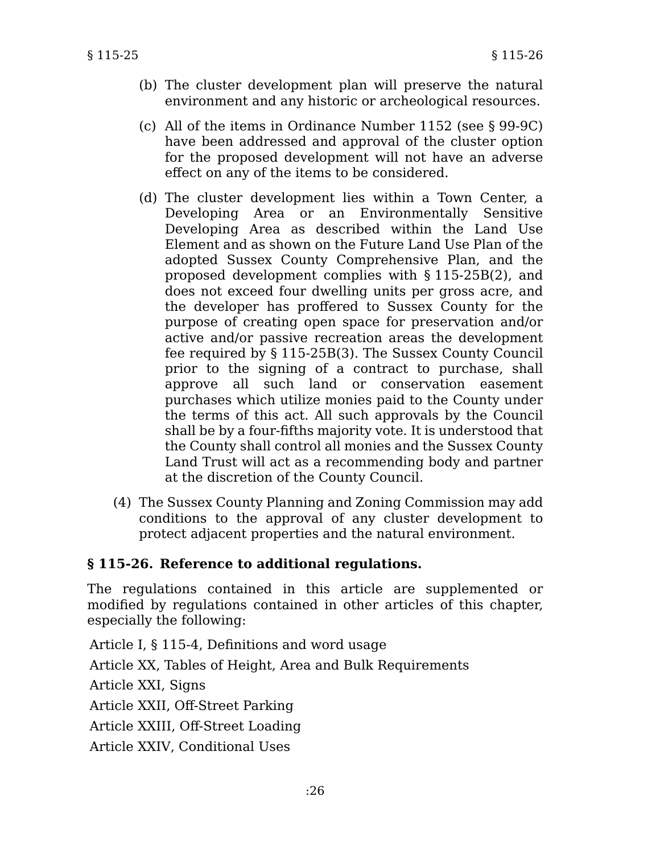- (b) The cluster development plan will preserve the natural environment and any historic or archeological resources.
- (c) All of the items in Ordinance Number 1152 (see § 99-9C) have been addressed and approval of the cluster option for the proposed development will not have an adverse effect on any of the items to be considered.
- (d) The cluster development lies within a Town Center, a Developing Area or an Environmentally Sensitive Developing Area as described within the Land Use Element and as shown on the Future Land Use Plan of the adopted Sussex County Comprehensive Plan, and the proposed development complies with § 115-25B(2), and does not exceed four dwelling units per gross acre, and the developer has proffered to Sussex County for the purpose of creating open space for preservation and/or active and/or passive recreation areas the development fee required by § 115-25B(3). The Sussex County Council prior to the signing of a contract to purchase, shall approve all such land or conservation easement purchases which utilize monies paid to the County under the terms of this act. All such approvals by the Council shall be by a four-fifths majority vote. It is understood that the County shall control all monies and the Sussex County Land Trust will act as a recommending body and partner at the discretion of the County Council.
- (4) The Sussex County Planning and Zoning Commission may add conditions to the approval of any cluster development to protect adjacent properties and the natural environment.

# **§ 115-26. Reference to additional regulations.**

The regulations contained in this article are supplemented or modified by regulations contained in other articles of this chapter, especially the following:

Article I, § 115-4, Definitions and word usage Article XX, Tables of Height, Area and Bulk Requirements Article XXI, Signs Article XXII, Off-Street Parking Article XXIII, Off-Street Loading Article XXIV, Conditional Uses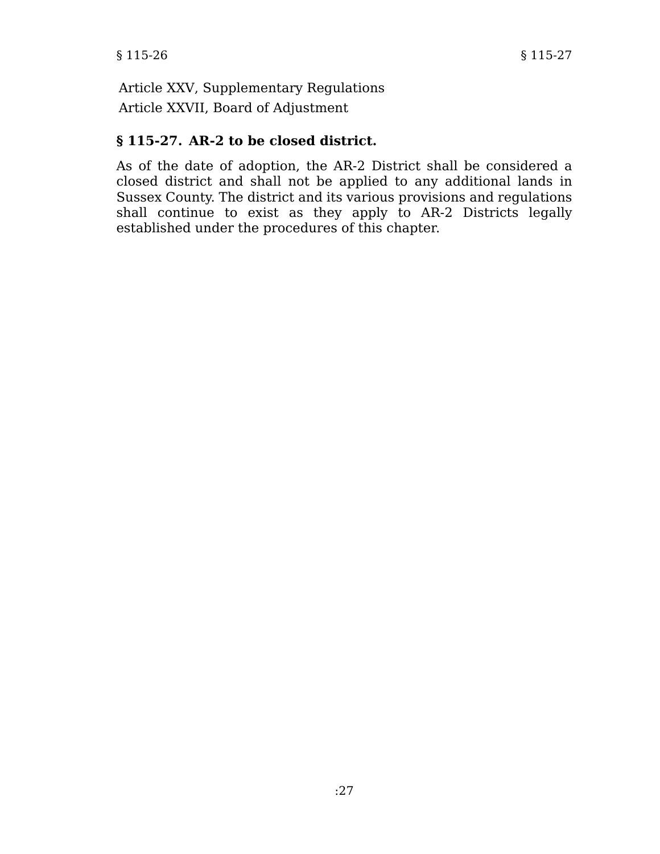Article XXV, Supplementary Regulations Article XXVII, Board of Adjustment

# **§ 115-27. AR-2 to be closed district.**

As of the date of adoption, the AR-2 District shall be considered a closed district and shall not be applied to any additional lands in Sussex County. The district and its various provisions and regulations shall continue to exist as they apply to AR-2 Districts legally established under the procedures of this chapter.